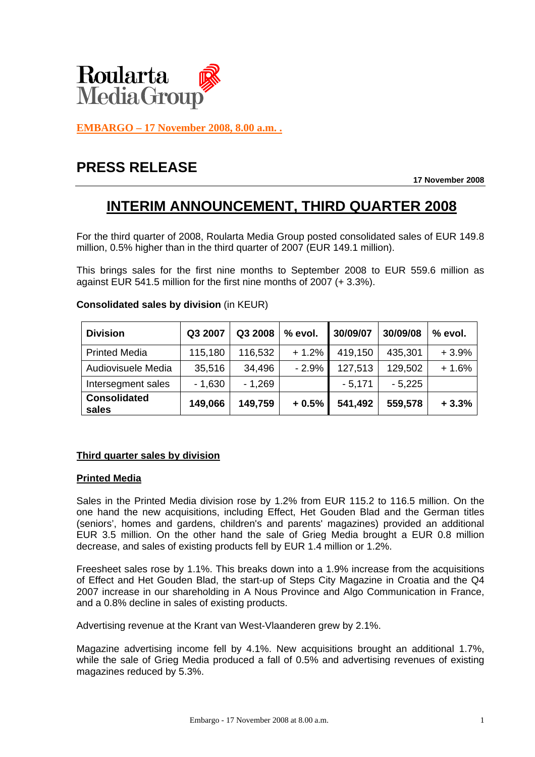

**EMBARGO – 17 November 2008, 8.00 a.m. .**

# **PRESS RELEASE**

**17 November 2008** 

## **INTERIM ANNOUNCEMENT, THIRD QUARTER 2008**

For the third quarter of 2008, Roularta Media Group posted consolidated sales of EUR 149.8 million, 0.5% higher than in the third quarter of 2007 (EUR 149.1 million).

This brings sales for the first nine months to September 2008 to EUR 559.6 million as against EUR 541.5 million for the first nine months of 2007 (+ 3.3%).

| <b>Division</b>              | Q3 2007  | Q3 2008  | % evol. | 30/09/07 | 30/09/08 | % evol. |
|------------------------------|----------|----------|---------|----------|----------|---------|
| <b>Printed Media</b>         | 115,180  | 116,532  | $+1.2%$ | 419,150  | 435,301  | $+3.9%$ |
| Audiovisuele Media           | 35,516   | 34,496   | $-2.9%$ | 127,513  | 129,502  | $+1.6%$ |
| Intersegment sales           | $-1,630$ | $-1,269$ |         | $-5,171$ | $-5,225$ |         |
| <b>Consolidated</b><br>sales | 149,066  | 149,759  | $+0.5%$ | 541,492  | 559,578  | $+3.3%$ |

**Consolidated sales by division** (in KEUR)

## **Third quarter sales by division**

## **Printed Media**

Sales in the Printed Media division rose by 1.2% from EUR 115.2 to 116.5 million. On the one hand the new acquisitions, including Effect, Het Gouden Blad and the German titles (seniors', homes and gardens, children's and parents' magazines) provided an additional EUR 3.5 million. On the other hand the sale of Grieg Media brought a EUR 0.8 million decrease, and sales of existing products fell by EUR 1.4 million or 1.2%.

Freesheet sales rose by 1.1%. This breaks down into a 1.9% increase from the acquisitions of Effect and Het Gouden Blad, the start-up of Steps City Magazine in Croatia and the Q4 2007 increase in our shareholding in A Nous Province and Algo Communication in France, and a 0.8% decline in sales of existing products.

Advertising revenue at the Krant van West-Vlaanderen grew by 2.1%.

Magazine advertising income fell by 4.1%. New acquisitions brought an additional 1.7%, while the sale of Grieg Media produced a fall of 0.5% and advertising revenues of existing magazines reduced by 5.3%.